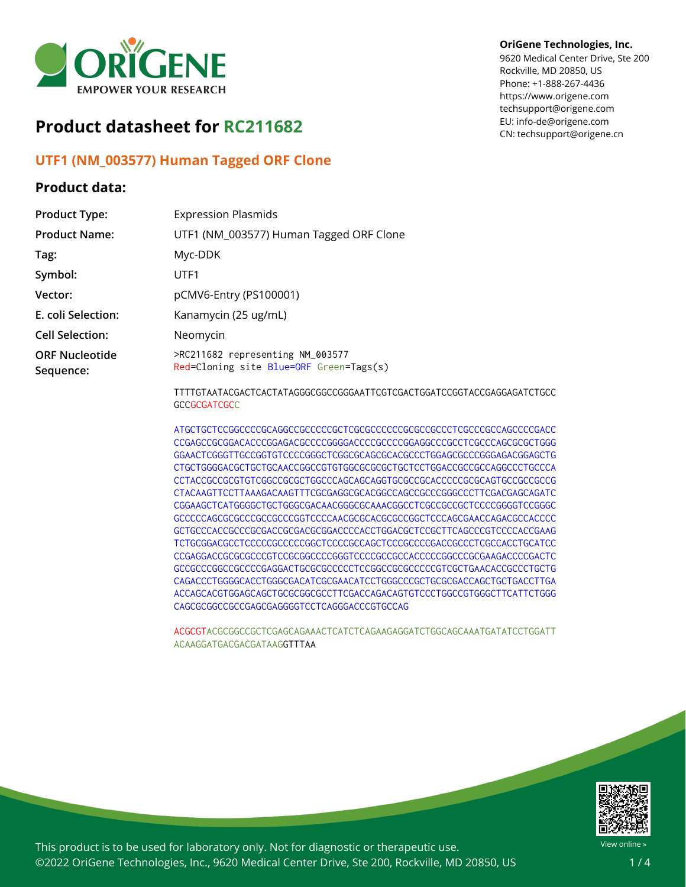

# **Product datasheet for RC211682**

## **UTF1 (NM\_003577) Human Tagged ORF Clone**

### **Product data:**

### **OriGene Technologies, Inc.**

9620 Medical Center Drive, Ste 200 Rockville, MD 20850, US Phone: +1-888-267-4436 https://www.origene.com techsupport@origene.com EU: info-de@origene.com CN: techsupport@origene.cn

| <b>Product Type:</b>               | <b>Expression Plasmids</b>                                                                    |  |  |  |  |  |  |
|------------------------------------|-----------------------------------------------------------------------------------------------|--|--|--|--|--|--|
| <b>Product Name:</b>               | UTF1 (NM_003577) Human Tagged ORF Clone                                                       |  |  |  |  |  |  |
| Tag:                               | Myc-DDK                                                                                       |  |  |  |  |  |  |
| Symbol:                            | UTF1                                                                                          |  |  |  |  |  |  |
| Vector:                            | pCMV6-Entry (PS100001)                                                                        |  |  |  |  |  |  |
| E. coli Selection:                 | Kanamycin (25 ug/mL)                                                                          |  |  |  |  |  |  |
| <b>Cell Selection:</b>             | Neomycin                                                                                      |  |  |  |  |  |  |
| <b>ORF Nucleotide</b><br>Sequence: | >RC211682 representing NM_003577<br>Red=Cloning site Blue=ORF Green=Tags(s)                   |  |  |  |  |  |  |
|                                    | TTTTGTAATACGACTCACTATAGGGCGGCCGGGAATTCGTCGACTGGATCCGGTACCGAGGAGATCTGCC<br><b>GCCGCGATCGCC</b> |  |  |  |  |  |  |
|                                    | COO LOOOCOO LO LOOOCO LO LOOOCOO DO LOOOCOO DO LOOOCOO DO TOO COO LOOOCO TODO DO TOO          |  |  |  |  |  |  |

CCGAGCCGCGGACACCCGGAGACGCCCCGGGGACCCCGCCCCGGAGGCCCGCCTCGCCCAGCGCGCTGGG GGAACTCGGGTTGCCGGTGTCCCCGGGCTCGGCGCAGCGCACGCCCTGGAGCGCCCGGGAGACGGAGCTG CTGCTGGGGACGCTGCTGCAACCGGCCGTGTGGCGCGCGCTGCTCCTGGACCGCCGCCAGGCCCTGCCCA CCTACCGCCGCGTGTCGGCCGCGCTGGCCCAGCAGCAGGTGCGCCGCACCCCCGCGCAGTGCCGCCGCCG CTACAAGTTCCTTAAAGACAAGTTTCGCGAGGCGCACGGCCAGCCGCCCGGGCCCTTCGACGAGCAGATC CGGAAGCTCATGGGGCTGCTGGGCGACAACGGGCGCAAACGGCCTCGCCGCCGCTCCCCGGGGTCCGGGC GCCCCCAGCGCGCCCGCCGCCCGGTCCCCAACGCGCACGCGCCGGCTCCCAGCGAACCAGACGCCACCCC GCTGCCCACCGCCCGCGACCGCGACGCGGACCCCACCTGGACGCTCCGCTTCAGCCCGTCCCCACCGAAG TCTGCGGACGCCTCCCCCGCCCCCGGCTCCCCGCCAGCTCCCGCCCCGACCGCCCTCGCCACCTGCATCC CCGAGGACCGCGCGCCCGTCCGCGGCCCCGGGTCCCCGCCGCCACCCCCGGCCCGCGAAGACCCCGACTC GCCGCCCGGCCGCCCCGAGGACTGCGCGCCCCCTCCGGCCGCGCCCCCGTCGCTGAACACCGCCCTGCTG CAGACCCTGGGGCACCTGGGCGACATCGCGAACATCCTGGGCCCGCTGCGCGACCAGCTGCTGACCTTGA ACCAGCACGTGGAGCAGCTGCGCGGCGCCTTCGACCAGACAGTGTCCCTGGCCGTGGGCTTCATTCTGGG CAGCGCGGCCGCCGAGCGAGGGGTCCTCAGGGACCCGTGCCAG

ACGCGTACGCGGCCGCTCGAGCAGAAACTCATCTCAGAAGAGGATCTGGCAGCAAATGATATCCTGGATT ACAAGGATGACGACGATAAGGTTTAA



This product is to be used for laboratory only. Not for diagnostic or therapeutic use. ©2022 OriGene Technologies, Inc., 9620 Medical Center Drive, Ste 200, Rockville, MD 20850, US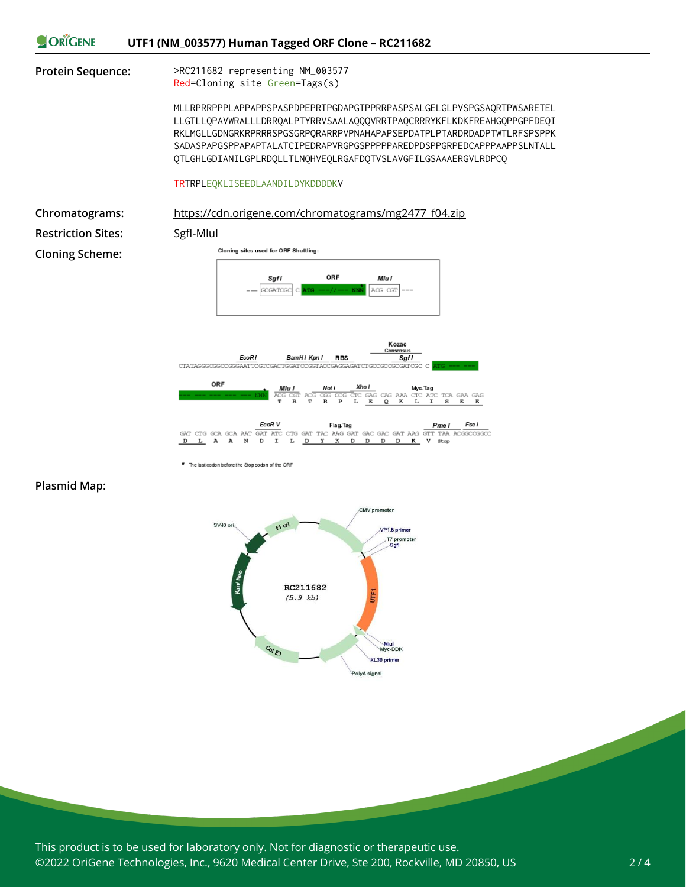

|                                   |  |  | <b>EcoR</b> V | Flag. Tag |  |  |  |  |  |  |  | Pme I | Fse I                                                                              |
|-----------------------------------|--|--|---------------|-----------|--|--|--|--|--|--|--|-------|------------------------------------------------------------------------------------|
| DLA ANDIL <u>DYK</u> DDD K V stop |  |  |               |           |  |  |  |  |  |  |  |       | GAT CTG GCA GCA AAT GAT ATC CTG GAT TAC AAG GAT GAC GAC GAT AAG GTT TAA ACGGCCGGCC |
|                                   |  |  |               |           |  |  |  |  |  |  |  |       |                                                                                    |

**Plasmid Map:**

The last codon before the Stop codon of the ORF



This product is to be used for laboratory only. Not for diagnostic or therapeutic use. ©2022 OriGene Technologies, Inc., 9620 Medical Center Drive, Ste 200, Rockville, MD 20850, US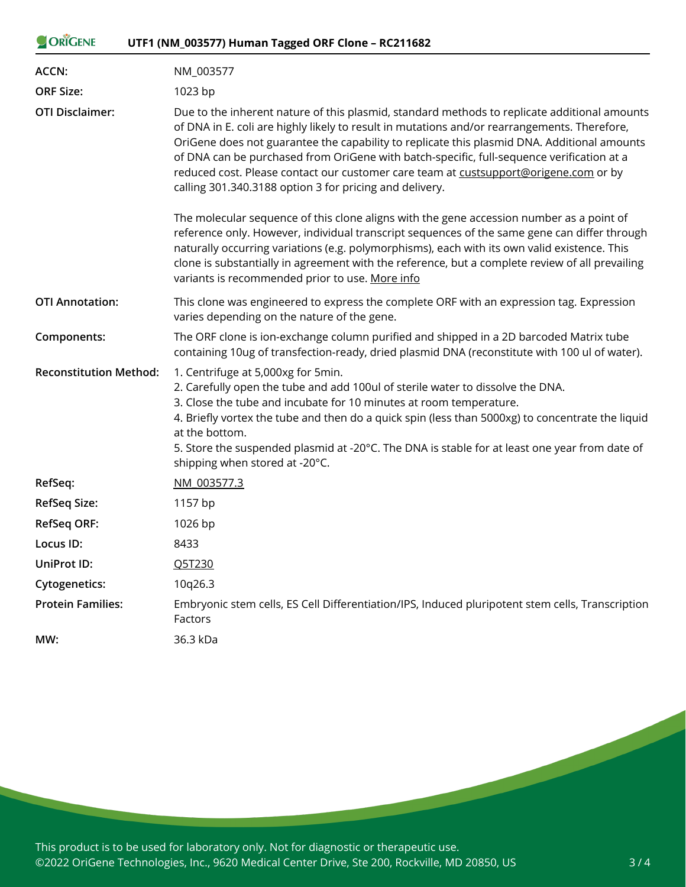| ORIGENE                       | UTF1 (NM_003577) Human Tagged ORF Clone - RC211682                                                                                                                                                                                                                                                                                                                                                                                                                                                                                          |  |  |  |  |  |  |  |  |  |
|-------------------------------|---------------------------------------------------------------------------------------------------------------------------------------------------------------------------------------------------------------------------------------------------------------------------------------------------------------------------------------------------------------------------------------------------------------------------------------------------------------------------------------------------------------------------------------------|--|--|--|--|--|--|--|--|--|
| <b>ACCN:</b>                  | NM_003577                                                                                                                                                                                                                                                                                                                                                                                                                                                                                                                                   |  |  |  |  |  |  |  |  |  |
| <b>ORF Size:</b>              | 1023 bp                                                                                                                                                                                                                                                                                                                                                                                                                                                                                                                                     |  |  |  |  |  |  |  |  |  |
| <b>OTI Disclaimer:</b>        | Due to the inherent nature of this plasmid, standard methods to replicate additional amounts<br>of DNA in E. coli are highly likely to result in mutations and/or rearrangements. Therefore,<br>OriGene does not guarantee the capability to replicate this plasmid DNA. Additional amounts<br>of DNA can be purchased from OriGene with batch-specific, full-sequence verification at a<br>reduced cost. Please contact our customer care team at custsupport@origene.com or by<br>calling 301.340.3188 option 3 for pricing and delivery. |  |  |  |  |  |  |  |  |  |
|                               | The molecular sequence of this clone aligns with the gene accession number as a point of<br>reference only. However, individual transcript sequences of the same gene can differ through<br>naturally occurring variations (e.g. polymorphisms), each with its own valid existence. This<br>clone is substantially in agreement with the reference, but a complete review of all prevailing<br>variants is recommended prior to use. More info                                                                                              |  |  |  |  |  |  |  |  |  |
| <b>OTI Annotation:</b>        | This clone was engineered to express the complete ORF with an expression tag. Expression<br>varies depending on the nature of the gene.                                                                                                                                                                                                                                                                                                                                                                                                     |  |  |  |  |  |  |  |  |  |
| Components:                   | The ORF clone is ion-exchange column purified and shipped in a 2D barcoded Matrix tube<br>containing 10ug of transfection-ready, dried plasmid DNA (reconstitute with 100 ul of water).                                                                                                                                                                                                                                                                                                                                                     |  |  |  |  |  |  |  |  |  |
| <b>Reconstitution Method:</b> | 1. Centrifuge at 5,000xg for 5min.<br>2. Carefully open the tube and add 100ul of sterile water to dissolve the DNA.<br>3. Close the tube and incubate for 10 minutes at room temperature.<br>4. Briefly vortex the tube and then do a quick spin (less than 5000xg) to concentrate the liquid<br>at the bottom.<br>5. Store the suspended plasmid at -20°C. The DNA is stable for at least one year from date of<br>shipping when stored at -20°C.                                                                                         |  |  |  |  |  |  |  |  |  |
| RefSeq:                       | NM 003577.3                                                                                                                                                                                                                                                                                                                                                                                                                                                                                                                                 |  |  |  |  |  |  |  |  |  |
| <b>RefSeq Size:</b>           | 1157 bp                                                                                                                                                                                                                                                                                                                                                                                                                                                                                                                                     |  |  |  |  |  |  |  |  |  |
| <b>RefSeq ORF:</b>            | 1026 bp                                                                                                                                                                                                                                                                                                                                                                                                                                                                                                                                     |  |  |  |  |  |  |  |  |  |
| Locus ID:                     | 8433                                                                                                                                                                                                                                                                                                                                                                                                                                                                                                                                        |  |  |  |  |  |  |  |  |  |
| <b>UniProt ID:</b>            | Q5T230                                                                                                                                                                                                                                                                                                                                                                                                                                                                                                                                      |  |  |  |  |  |  |  |  |  |
| <b>Cytogenetics:</b>          | 10q26.3                                                                                                                                                                                                                                                                                                                                                                                                                                                                                                                                     |  |  |  |  |  |  |  |  |  |
| <b>Protein Families:</b>      | Embryonic stem cells, ES Cell Differentiation/IPS, Induced pluripotent stem cells, Transcription<br>Factors                                                                                                                                                                                                                                                                                                                                                                                                                                 |  |  |  |  |  |  |  |  |  |
| MW:                           | 36.3 kDa                                                                                                                                                                                                                                                                                                                                                                                                                                                                                                                                    |  |  |  |  |  |  |  |  |  |

This product is to be used for laboratory only. Not for diagnostic or therapeutic use. ©2022 OriGene Technologies, Inc., 9620 Medical Center Drive, Ste 200, Rockville, MD 20850, US